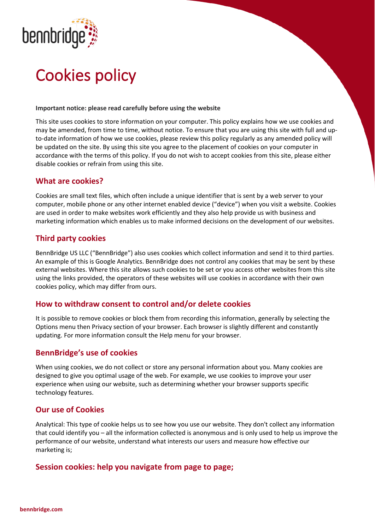

# Cookies policy

#### **Important notice: please read carefully before using the website**

This site uses cookies to store information on your computer. This policy explains how we use cookies and may be amended, from time to time, without notice. To ensure that you are using this site with full and upto-date information of how we use cookies, please review this policy regularly as any amended policy will be updated on the site. By using this site you agree to the placement of cookies on your computer in accordance with the terms of this policy. If you do not wish to accept cookies from this site, please either disable cookies or refrain from using this site.

### **What are cookies?**

Cookies are small text files, which often include a unique identifier that is sent by a web server to your computer, mobile phone or any other internet enabled device ("device") when you visit a website. Cookies are used in order to make websites work efficiently and they also help provide us with business and marketing information which enables us to make informed decisions on the development of our websites.

### **Third party cookies**

BennBridge US LLC ("BennBridge") also uses cookies which collect information and send it to third parties. An example of this is Google Analytics. BennBridge does not control any cookies that may be sent by these external websites. Where this site allows such cookies to be set or you access other websites from this site using the links provided, the operators of these websites will use cookies in accordance with their own cookies policy, which may differ from ours.

#### **How to withdraw consent to control and/or delete cookies**

It is possible to remove cookies or block them from recording this information, generally by selecting the Options menu then Privacy section of your browser. Each browser is slightly different and constantly updating. For more information consult the Help menu for your browser.

## **BennBridge's use of cookies**

When using cookies, we do not collect or store any personal information about you. Many cookies are designed to give you optimal usage of the web. For example, we use cookies to improve your user experience when using our website, such as determining whether your browser supports specific technology features.

#### **Our use of Cookies**

Analytical: This type of cookie helps us to see how you use our website. They don't collect any information that could identify you – all the information collected is anonymous and is only used to help us improve the performance of our website, understand what interests our users and measure how effective our marketing is;

#### **Session cookies: help you navigate from page to page;**